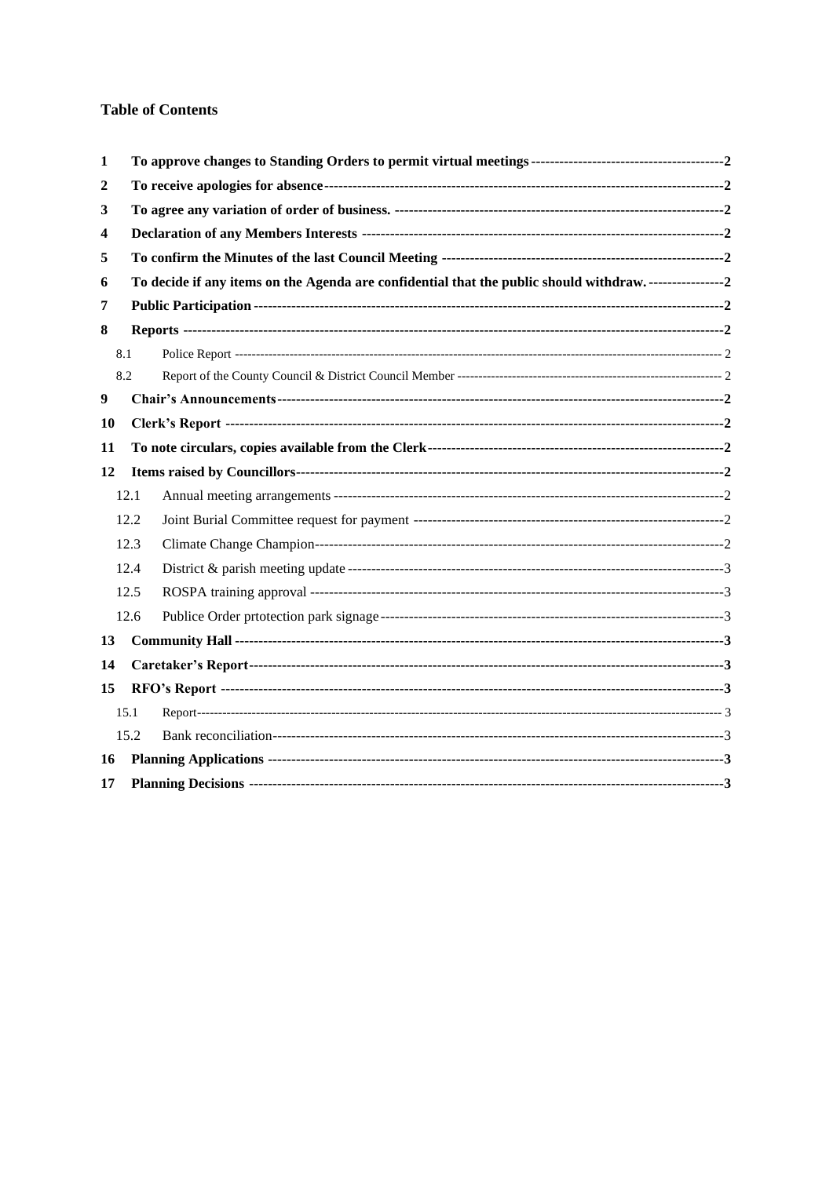## **Table of Contents**

| 1                |      |                                                                                       |  |  |
|------------------|------|---------------------------------------------------------------------------------------|--|--|
| 2                |      |                                                                                       |  |  |
| 3                |      |                                                                                       |  |  |
| 4                |      |                                                                                       |  |  |
| 5                |      |                                                                                       |  |  |
| 6                |      | To decide if any items on the Agenda are confidential that the public should withdraw |  |  |
| 7                |      |                                                                                       |  |  |
| 8                |      |                                                                                       |  |  |
| 8.1              |      |                                                                                       |  |  |
| 8.2              |      |                                                                                       |  |  |
| $\boldsymbol{9}$ |      |                                                                                       |  |  |
| 10               |      |                                                                                       |  |  |
| 11               |      |                                                                                       |  |  |
| 12               |      |                                                                                       |  |  |
|                  | 12.1 |                                                                                       |  |  |
|                  | 12.2 |                                                                                       |  |  |
|                  | 12.3 |                                                                                       |  |  |
|                  | 12.4 |                                                                                       |  |  |
|                  | 12.5 |                                                                                       |  |  |
|                  | 12.6 |                                                                                       |  |  |
| 13               |      |                                                                                       |  |  |
| 14               |      |                                                                                       |  |  |
| 15               |      |                                                                                       |  |  |
|                  | 15.1 |                                                                                       |  |  |
|                  | 15.2 |                                                                                       |  |  |
| 16               |      |                                                                                       |  |  |
| 17               |      |                                                                                       |  |  |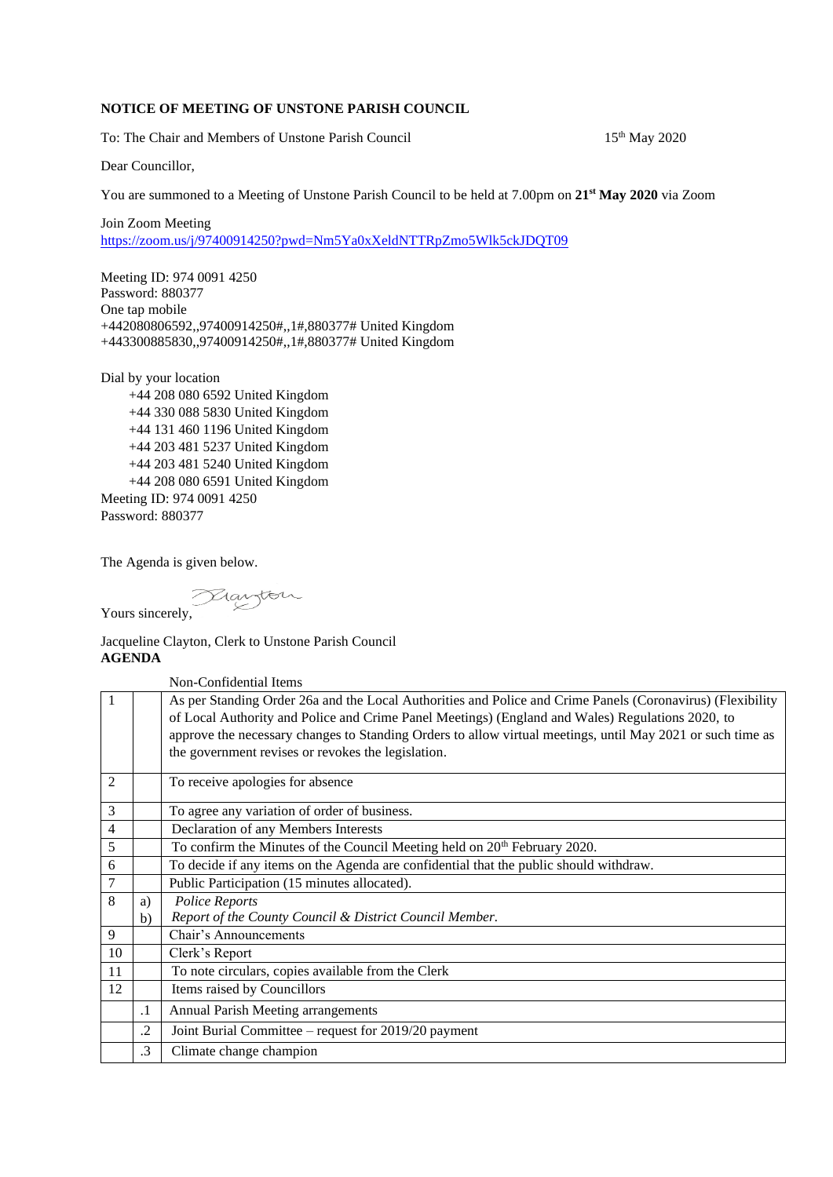## **NOTICE OF MEETING OF UNSTONE PARISH COUNCIL**

To: The Chair and Members of Unstone Parish Council

15<sup>th</sup> May 2020

Dear Councillor,

You are summoned to a Meeting of Unstone Parish Council to be held at 7.00pm on **21st May 2020** via Zoom

Join Zoom Meeting <https://zoom.us/j/97400914250?pwd=Nm5Ya0xXeldNTTRpZmo5Wlk5ckJDQT09>

Meeting ID: 974 0091 4250 Password: 880377 One tap mobile +442080806592,,97400914250#,,1#,880377# United Kingdom +443300885830,,97400914250#,,1#,880377# United Kingdom

Dial by your location +44 208 080 6592 United Kingdom +44 330 088 5830 United Kingdom +44 131 460 1196 United Kingdom +44 203 481 5237 United Kingdom +44 203 481 5240 United Kingdom +44 208 080 6591 United Kingdom Meeting ID: 974 0091 4250 Password: 880377

The Agenda is given below.

Yours sincerely,

Jacqueline Clayton, Clerk to Unstone Parish Council **AGENDA**

Non-Confidential Items 1 As per Standing Order 26a and the Local Authorities and Police and Crime Panels (Coronavirus) (Flexibility of Local Authority and Police and Crime Panel Meetings) (England and Wales) Regulations 2020, to approve the necessary changes to Standing Orders to allow virtual meetings, until May 2021 or such time as the government revises or revokes the legislation. 2 To receive apologies for absence 3 To agree any variation of order of business. 4 Declaration of any Members Interests 5 To confirm the Minutes of the Council Meeting held on 20<sup>th</sup> February 2020. 6 To decide if any items on the Agenda are confidential that the public should withdraw. 7 Public Participation (15 minutes allocated).  $8$  a) b) *Police Reports Report of the County Council & District Council Member.* 9 Chair's Announcements 10 Clerk's Report 11 To note circulars, copies available from the Clerk 12 | Items raised by Councillors .1 Annual Parish Meeting arrangements .2 Joint Burial Committee – request for 2019/20 payment .3 Climate change champion